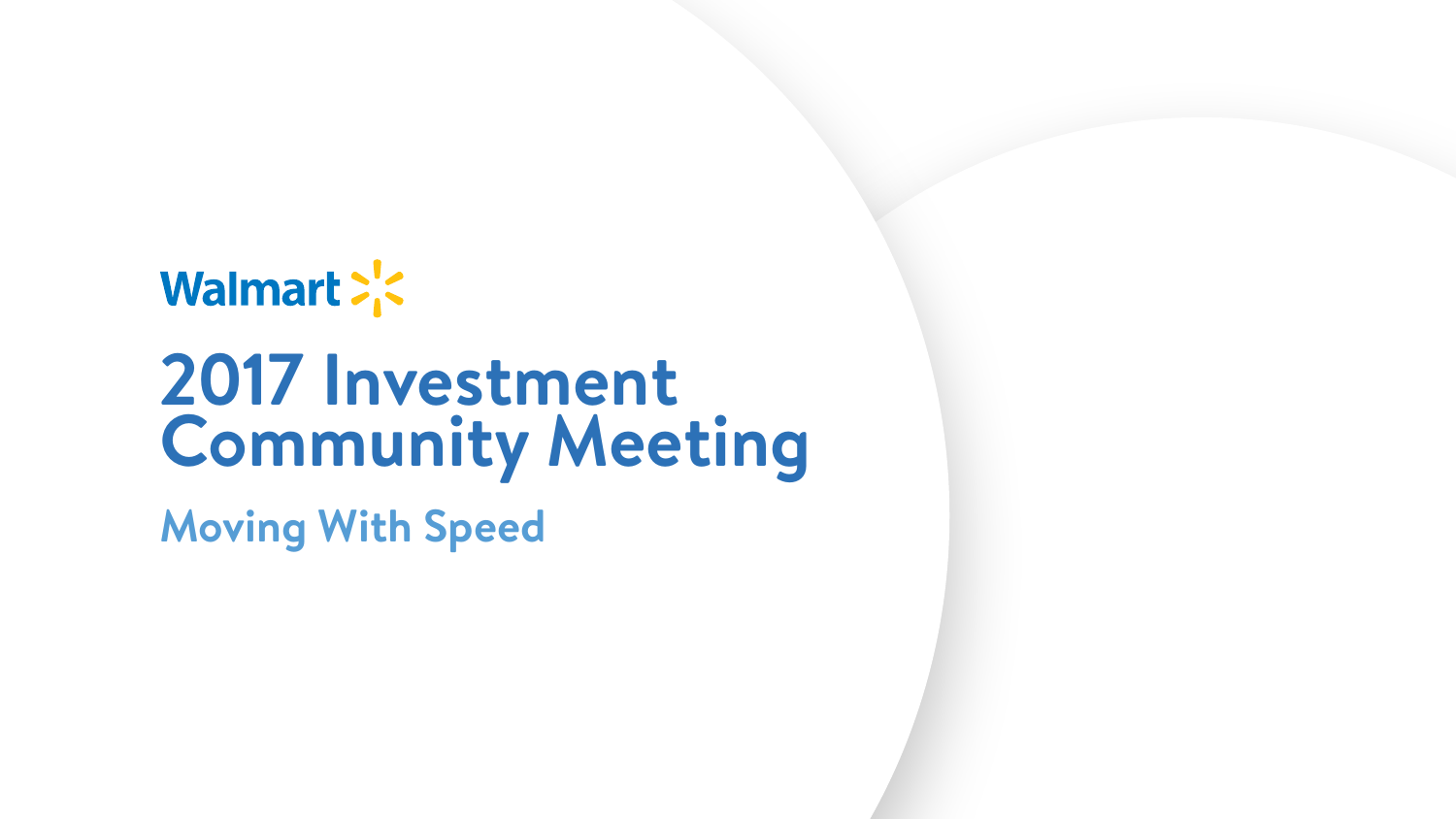# Walmart : < **2017 Investment Community Meeting Moving With Speed**

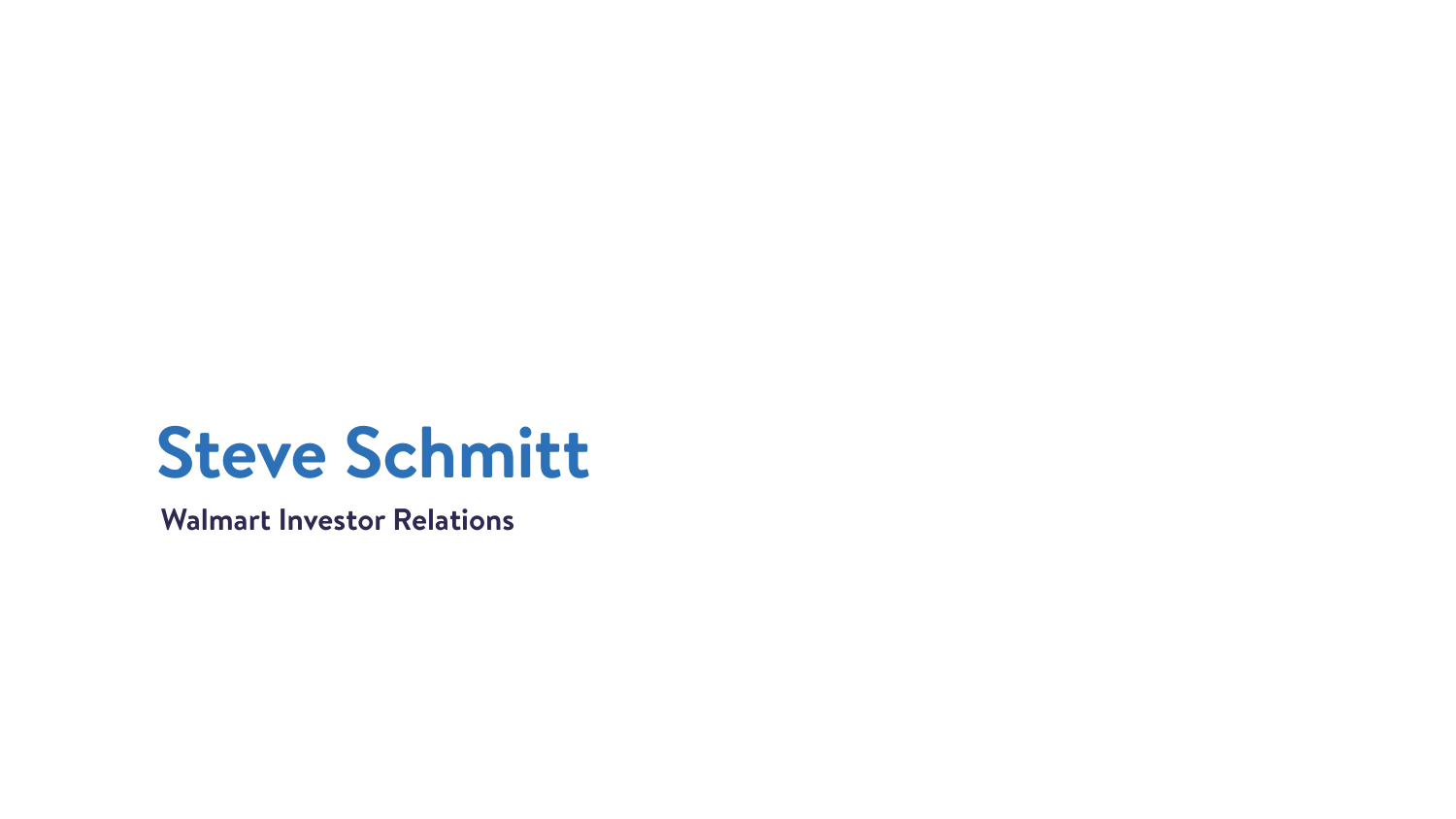# **Steve Schmitt**

### **Walmart Investor Relations**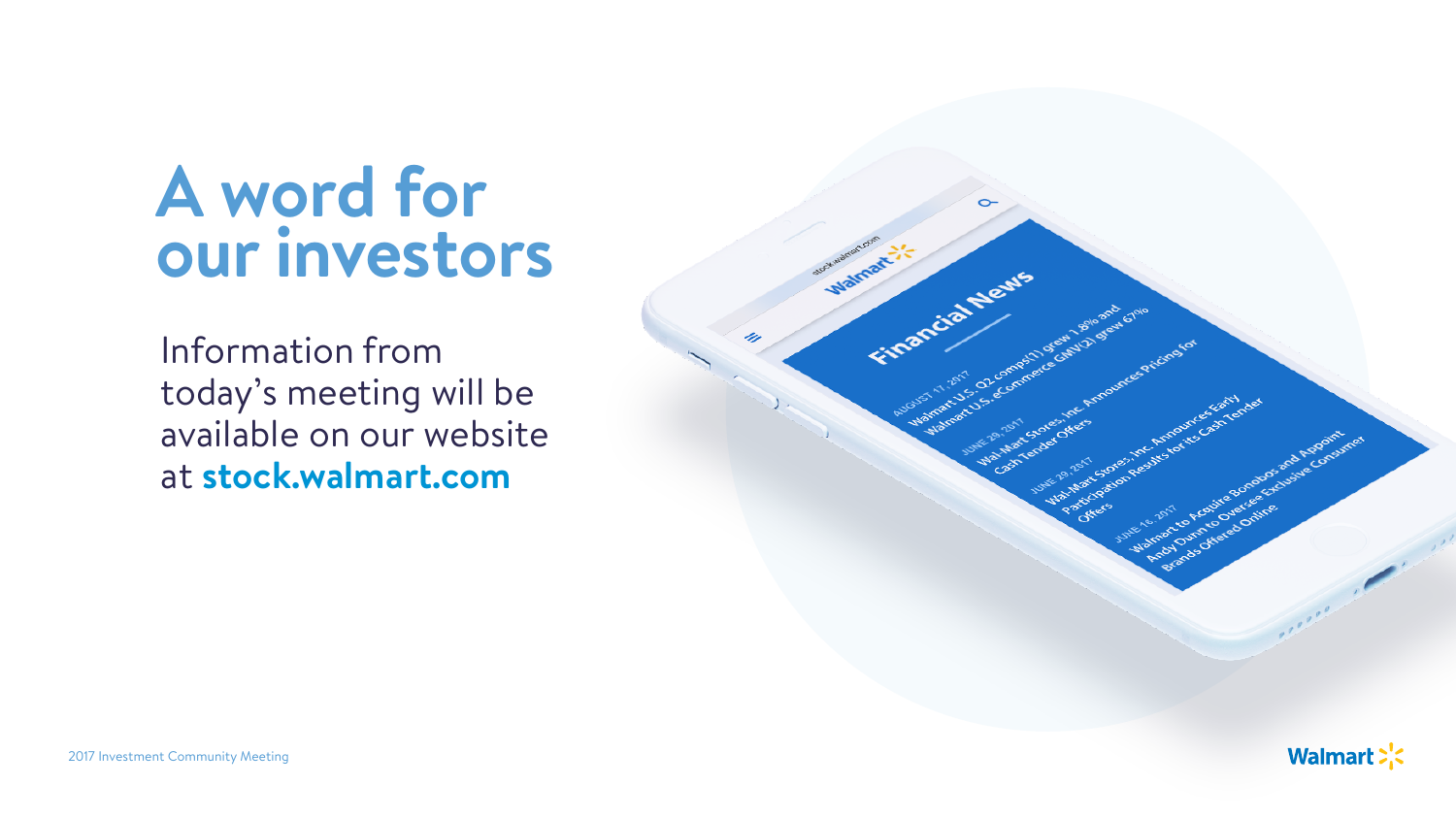## **A word for our investors**

Information from today's meeting will be available on our website at **stock.walmart.com**



**Walmart:**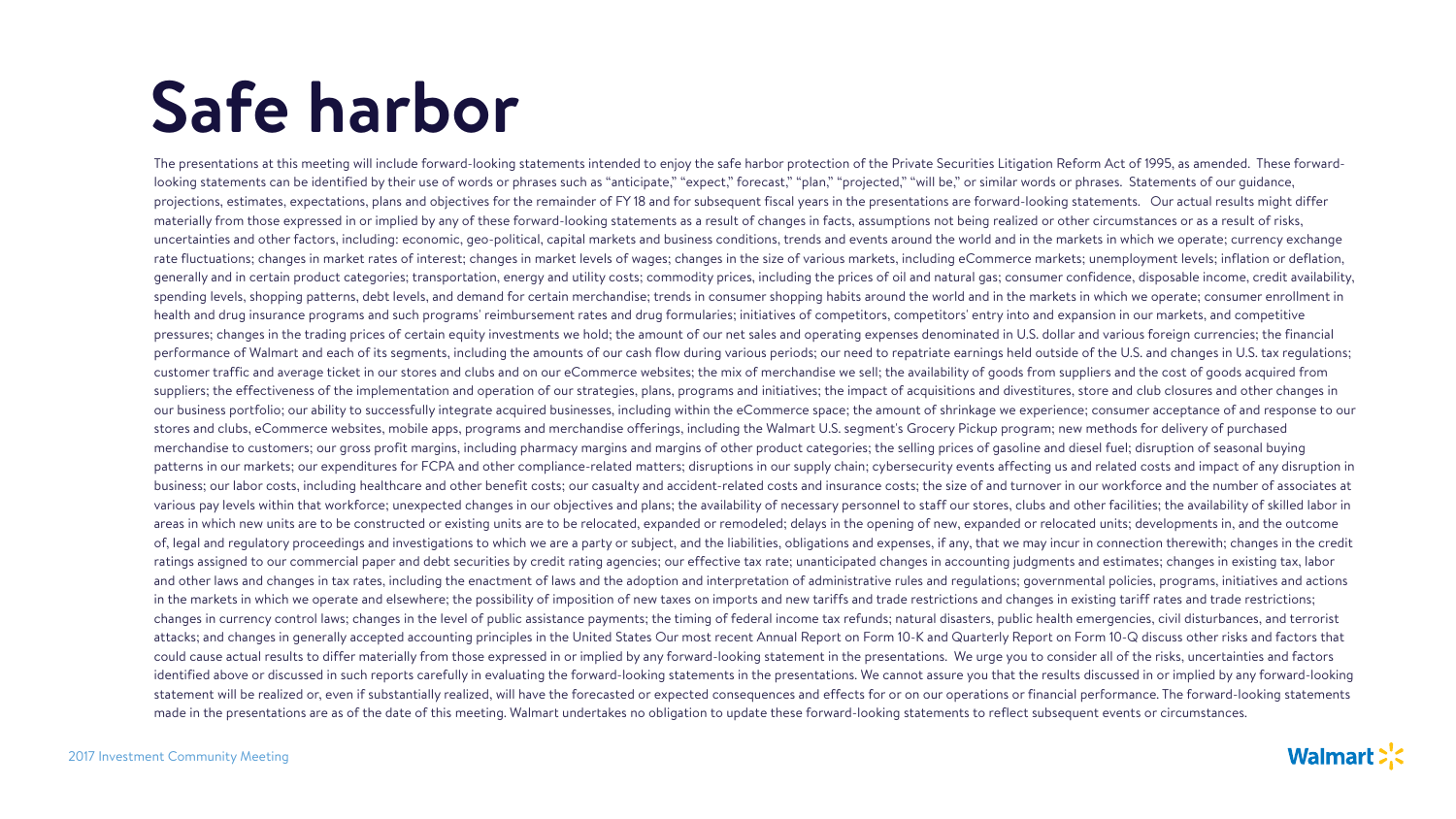The presentations at this meeting will include forward-looking statements intended to enjoy the safe harbor protection of the Private Securities Litigation Reform Act of 1995, as amended. These forwardlooking statements can be identified by their use of words or phrases such as "anticipate," "expect," forecast," "plan," "projected," "will be," or similar words or phrases. Statements of our guidance, projections, estimates, expectations, plans and objectives for the remainder of FY 18 and for subsequent fiscal years in the presentations are forward-looking statements. Our actual results might differ materially from those expressed in or implied by any of these forward-looking statements as a result of changes in facts, assumptions not being realized or other circumstances or as a result of risks, uncertainties and other factors, including: economic, geo-political, capital markets and business conditions, trends and events around the world and in the markets in which we operate; currency exchange rate fluctuations; changes in market rates of interest; changes in market levels of wages; changes in the size of various markets, including eCommerce markets; unemployment levels; inflation or deflation, generally and in certain product categories; transportation, energy and utility costs; commodity prices, including the prices of oil and natural gas; consumer confidence, disposable income, credit availability, spending levels, shopping patterns, debt levels, and demand for certain merchandise; trends in consumer shopping habits around the world and in the markets in which we operate; consumer enrollment in health and drug insurance programs and such programs' reimbursement rates and drug formularies; initiatives of competitors, competitors' entry into and expansion in our markets, and competitive pressures; changes in the trading prices of certain equity investments we hold; the amount of our net sales and operating expenses denominated in U.S. dollar and various foreign currencies; the financial performance of Walmart and each of its segments, including the amounts of our cash flow during various periods; our need to repatriate earnings held outside of the U.S. and changes in U.S. tax regulations; customer traffic and average ticket in our stores and clubs and on our eCommerce websites; the mix of merchandise we sell; the availability of goods from suppliers and the cost of goods acquired from suppliers; the effectiveness of the implementation and operation of our strategies, plans, programs and initiatives; the impact of acquisitions and divestitures, store and club closures and other changes in our business portfolio; our ability to successfully integrate acquired businesses, including within the eCommerce space; the amount of shrinkage we experience; consumer acceptance of and response to our stores and clubs, eCommerce websites, mobile apps, programs and merchandise offerings, including the Walmart U.S. segment's Grocery Pickup program; new methods for delivery of purchased merchandise to customers; our gross profit margins, including pharmacy margins and margins of other product categories; the selling prices of gasoline and diesel fuel; disruption of seasonal buying patterns in our markets; our expenditures for FCPA and other compliance-related matters; disruptions in our supply chain; cybersecurity events affecting us and related costs and impact of any disruption in business; our labor costs, including healthcare and other benefit costs; our casualty and accident-related costs and insurance costs; the size of and turnover in our workforce and the number of associates at various pay levels within that workforce; unexpected changes in our objectives and plans; the availability of necessary personnel to staff our stores, clubs and other facilities; the availability of skilled labor in areas in which new units are to be constructed or existing units are to be relocated, expanded or remodeled; delays in the opening of new, expanded or relocated units; developments in, and the outcome of, legal and regulatory proceedings and investigations to which we are a party or subject, and the liabilities, obligations and expenses, if any, that we may incur in connection therewith; changes in the credit ratings assigned to our commercial paper and debt securities by credit rating agencies; our effective tax rate; unanticipated changes in accounting judgments and estimates; changes in existing tax, labor and other laws and changes in tax rates, including the enactment of laws and the adoption and interpretation of administrative rules and regulations; governmental policies, programs, initiatives and actions in the markets in which we operate and elsewhere; the possibility of imposition of new taxes on imports and new tariffs and trade restrictions and changes in existing tariff rates and trade restrictions; changes in currency control laws; changes in the level of public assistance payments; the timing of federal income tax refunds; natural disasters, public health emergencies, civil disturbances, and terrorist attacks; and changes in generally accepted accounting principles in the United States Our most recent Annual Report on Form 10-K and Quarterly Report on Form 10-Q discuss other risks and factors that could cause actual results to differ materially from those expressed in or implied by any forward-looking statement in the presentations. We urge you to consider all of the risks, uncertainties and factors identified above or discussed in such reports carefully in evaluating the forward-looking statements in the presentations. We cannot assure you that the results discussed in or implied by any forward-looking statement will be realized or, even if substantially realized, will have the forecasted or expected consequences and effects for or on our operations or financial performance. The forward-looking statements made in the presentations are as of the date of this meeting. Walmart undertakes no obligation to update these forward-looking statements to reflect subsequent events or circumstances.

# **Safe harbor**

#### **Walmart:**

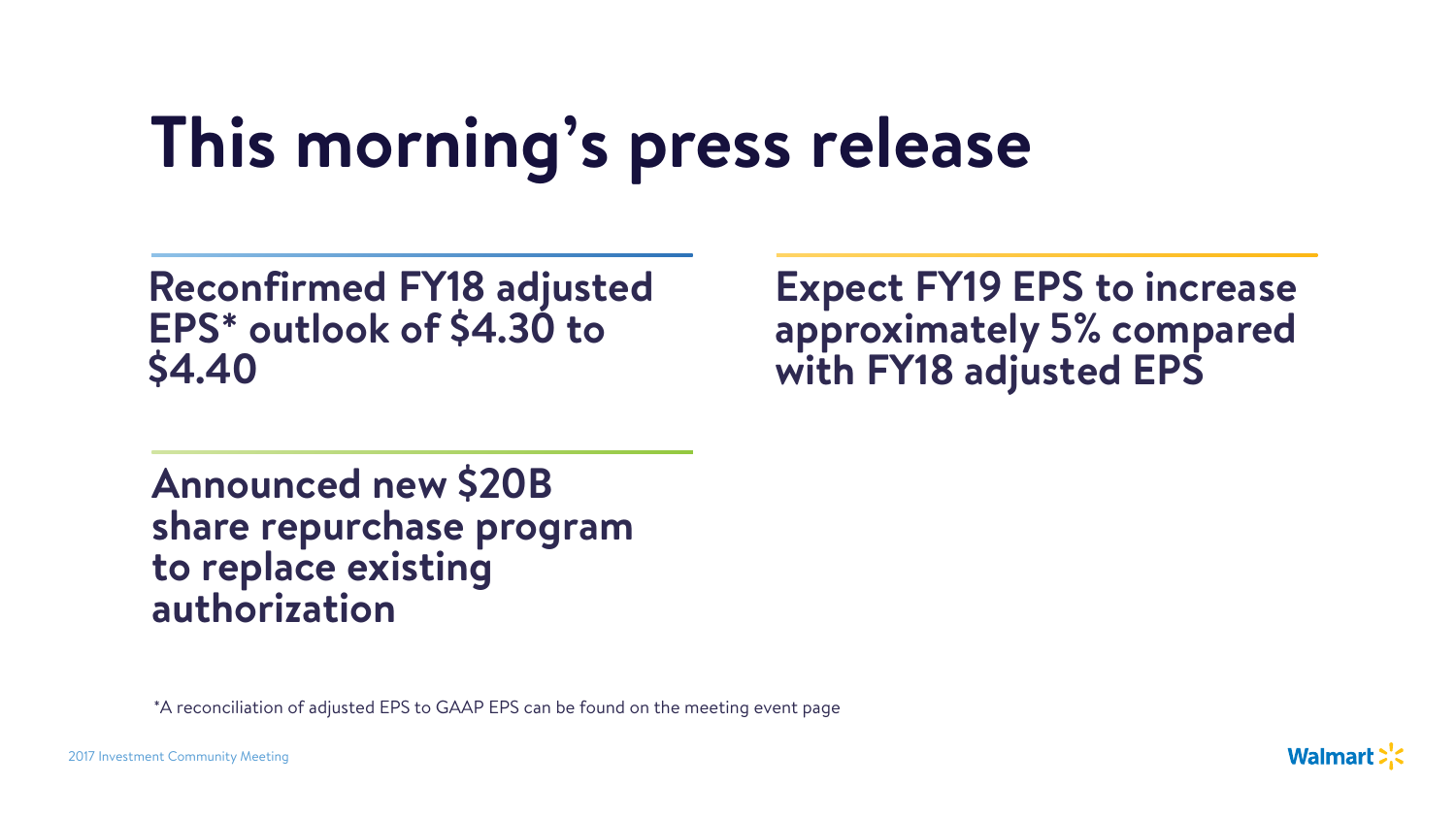# **This morning's press release**

2017 Investment Community Meeting

## **Reconfirmed FY18 adjusted EPS\* outlook of \$4.30 to \$4.40**

## **Expect FY19 EPS to increase approximately 5% compared with FY18 adjusted EPS**

**Walmart:** 



## **Announced new \$20B share repurchase program to replace existing authorization**

\*A reconciliation of adjusted EPS to GAAP EPS can be found on the meeting event page